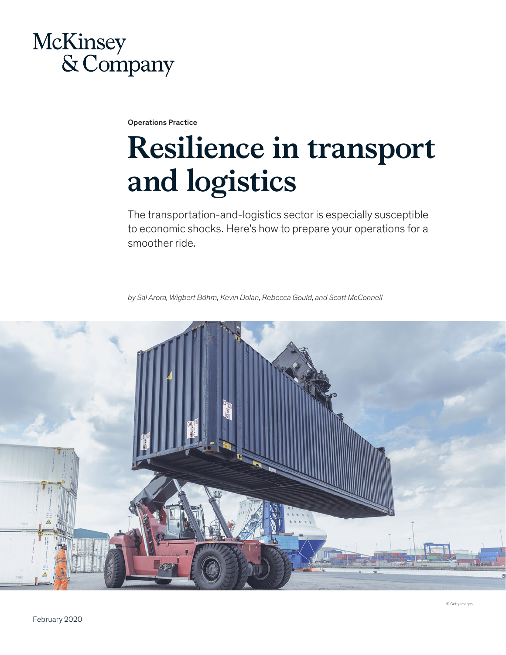# McKinsey & Company

Operations Practice

# **Resilience in transport and logistics**

The transportation-and-logistics sector is especially susceptible to economic shocks. Here's how to prepare your operations for a smoother ride.

*by Sal Arora, Wigbert Böhm, Kevin Dolan, Rebecca Gould, and Scott McConnell*

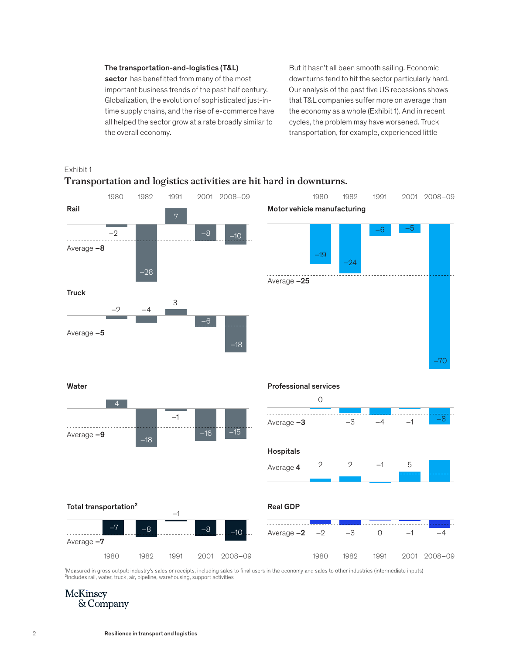# The transportation-and-logistics (T&L)

sector has benefitted from many of the most important business trends of the past half century. Globalization, the evolution of sophisticated just-intime supply chains, and the rise of e-commerce have all helped the sector grow at a rate broadly similar to the overall economy. the overall economy.

But it hasn't all been smooth sailing. Economic downturns tend to hit the sector particularly hard. Our analysis of the past five US recessions shows that T&L companies suffer more on average than the economy as a whole (Exhibit 1). And in recent cycles, the problem may have worsened. Truck



Transportation and logistics activities are hit hard in downturns.

'Measured in gross output: industry's sales or receipts, including sales to final users in the economy and sales to other industries (intermediate inputs) ²Includes rail, water, truck, air, pipeline, warehousing, support activities

# **McKinsey** & Company

Exhibit 1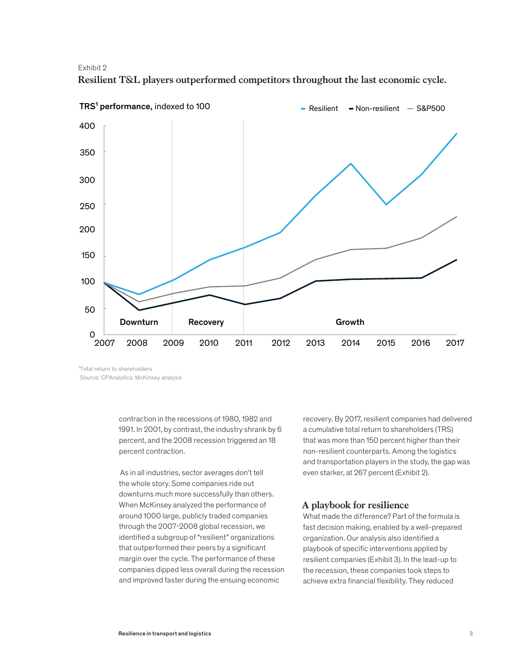Exhibit 2





<sup>1</sup>Total return to shareholders Source: CPAnalytics; McKinsey analysis

> contraction in the recessions of 1980, 1982 and 1991. In 2001, by contrast, the industry shrank by 6 percent, and the 2008 recession triggered an 18 percent contraction.

 As in all industries, sector averages don't tell the whole story. Some companies ride out downturns much more successfully than others. When McKinsey analyzed the performance of around 1000 large, publicly traded companies through the 2007-2008 global recession, we identified a subgroup of "resilient" organizations that outperformed their peers by a significant margin over the cycle. The performance of these companies dipped less overall during the recession and improved faster during the ensuing economic

recovery. By 2017, resilient companies had delivered a cumulative total return to shareholders (TRS) that was more than 150 percent higher than their non-resilient counterparts. Among the logistics and transportation players in the study, the gap was even starker, at 267 percent (Exhibit 2).

# **A playbook for resilience**

What made the difference? Part of the formula is fast decision making, enabled by a well-prepared organization. Our analysis also identified a playbook of specific interventions applied by resilient companies (Exhibit 3). In the lead-up to the recession, these companies took steps to achieve extra financial flexibility. They reduced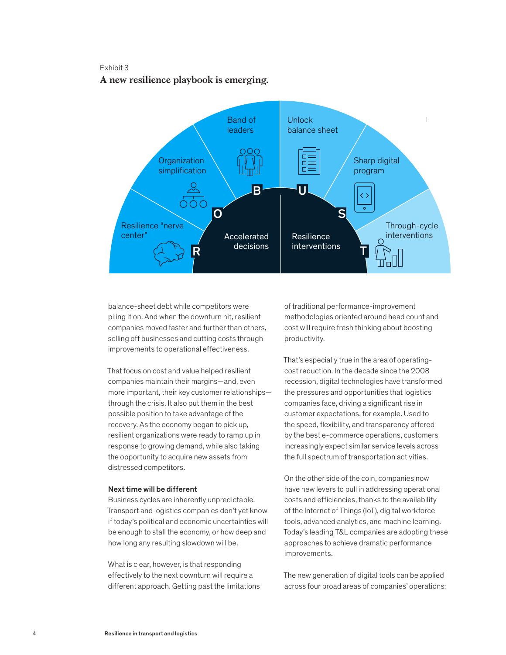# Exhibit 3

**A new resilience playbook is emerging.** A new resilience playbook is emerging.



balance-sheet debt while competitors were piling it on. And when the downturn hit, resilient companies moved faster and further than others, selling off businesses and cutting costs through improvements to operational effectiveness.

That focus on cost and value helped resilient companies maintain their margins—and, even more important, their key customer relationships through the crisis. It also put them in the best possible position to take advantage of the recovery. As the economy began to pick up, resilient organizations were ready to ramp up in response to growing demand, while also taking the opportunity to acquire new assets from distressed competitors.

#### Next time will be different

Business cycles are inherently unpredictable. Transport and logistics companies don't yet know if today's political and economic uncertainties will be enough to stall the economy, or how deep and how long any resulting slowdown will be.

What is clear, however, is that responding effectively to the next downturn will require a different approach. Getting past the limitations of traditional performance-improvement methodologies oriented around head count and cost will require fresh thinking about boosting productivity.

That's especially true in the area of operatingcost reduction. In the decade since the 2008 recession, digital technologies have transformed the pressures and opportunities that logistics companies face, driving a significant rise in customer expectations, for example. Used to the speed, flexibility, and transparency offered by the best e-commerce operations, customers increasingly expect similar service levels across the full spectrum of transportation activities.

On the other side of the coin, companies now have new levers to pull in addressing operational costs and efficiencies, thanks to the availability of the Internet of Things (IoT), digital workforce tools, advanced analytics, and machine learning. Today's leading T&L companies are adopting these approaches to achieve dramatic performance improvements.

The new generation of digital tools can be applied across four broad areas of companies' operations: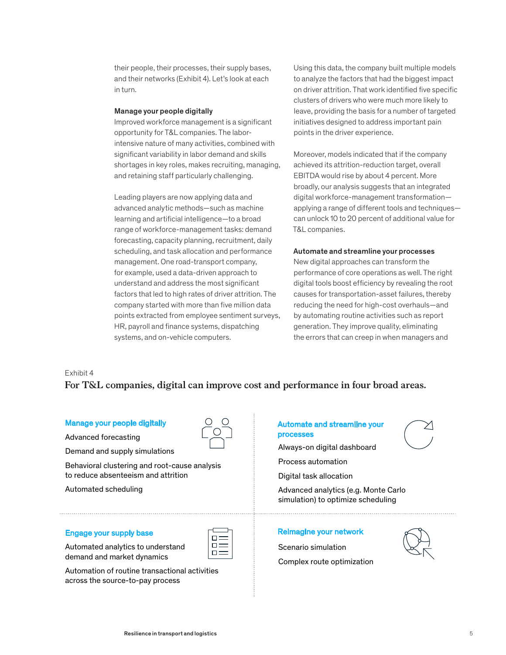their people, their processes, their supply bases, and their networks (Exhibit 4). Let's look at each in turn.

## Manage your people digitally

Improved workforce management is a significant opportunity for T&L companies. The laborintensive nature of many activities, combined with significant variability in labor demand and skills shortages in key roles, makes recruiting, managing, and retaining staff particularly challenging.

Leading players are now applying data and advanced analytic methods—such as machine learning and artificial intelligence—to a broad range of workforce-management tasks: demand forecasting, capacity planning, recruitment, daily scheduling, and task allocation and performance management. One road-transport company, for example, used a data-driven approach to understand and address the most significant factors that led to high rates of driver attrition. The company started with more than five million data points extracted from employee sentiment surveys, HR, payroll and finance systems, dispatching systems, and on-vehicle computers.

Using this data, the company built multiple models to analyze the factors that had the biggest impact on driver attrition. That work identified five specific clusters of drivers who were much more likely to leave, providing the basis for a number of targeted initiatives designed to address important pain points in the driver experience.

Moreover, models indicated that if the company achieved its attrition-reduction target, overall EBITDA would rise by about 4 percent. More broadly, our analysis suggests that an integrated digital workforce-management transformation applying a range of different tools and techniques can unlock 10 to 20 percent of additional value for T&L companies.

## Automate and streamline your processes

New digital approaches can transform the performance of core operations as well. The right digital tools boost efficiency by revealing the root causes for transportation-asset failures, thereby reducing the need for high-cost overhauls—and by automating routine activities such as report generation. They improve quality, eliminating the errors that can creep in when managers and

### Exhibit 4

# **For T&L companies, digital can improve cost and performance in four broad areas.** For T&L companies, digital can improve cost and performance in four broad com

# Manage your people digitally  $Q \ Q$   $\vdots$  Automate and streamline your

Advanced forecasting

Demand and supply simulations

Behavioral clustering and root-cause analysis to reduce absenteeism and attrition

Automated scheduling

Automated analytics to understand demand and market dynamics

Automation of routine transactional activities across the source-to-pay process

# processes

Always-on digital dashboard

Process automation

Digital task allocation

Advanced analytics (e.g. Monte Carlo simulation) to optimize scheduling

# Engage your supply base  $\Box$  Reimagine your network

Scenario simulation

Complex route optimization

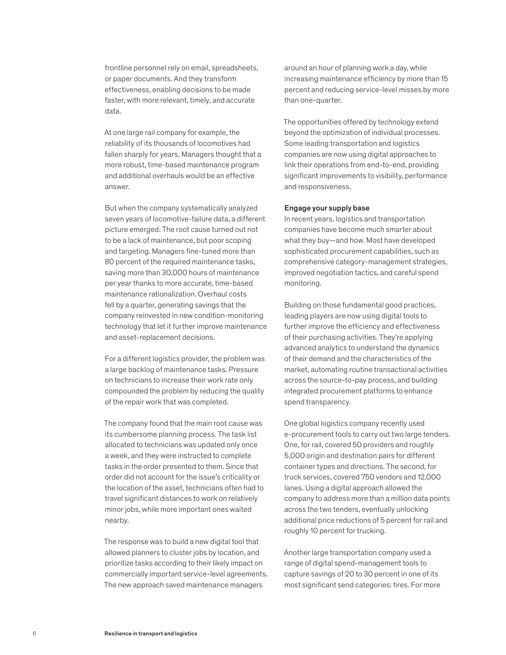frontline personnel rely on email, spreadsheets, or paper documents. And they transform effectiveness, enabling decisions to be made faster, with more relevant, timely, and accurate data.

At one large rail company for example, the reliability of its thousands of locomotives had fallen sharply for years. Managers thought that a more robust, time-based maintenance program and additional overhauls would be an effective answer.

But when the company systematically analyzed seven years of locomotive-failure data, a different picture emerged. The root cause turned out not to be a lack of maintenance, but poor scoping and targeting. Managers fine-tuned more than 80 percent of the required maintenance tasks, saving more than 30,000 hours of maintenance per year thanks to more accurate, time-based maintenance rationalization. Overhaul costs fell by a quarter, generating savings that the company reinvested in new condition-monitoring technology that let it further improve maintenance and asset-replacement decisions.

For a different logistics provider, the problem was a large backlog of maintenance tasks. Pressure on technicians to increase their work rate only compounded the problem by reducing the quality of the repair work that was completed.

The company found that the main root cause was its cumbersome planning process. The task list allocated to technicians was updated only once a week, and they were instructed to complete tasks in the order presented to them. Since that order did not account for the issue's criticality or the location of the asset, technicians often had to travel significant distances to work on relatively minor jobs, while more important ones waited nearby.

The response was to build a new digital tool that allowed planners to cluster jobs by location, and prioritize tasks according to their likely impact on commercially important service-level agreements. The new approach saved maintenance managers

around an hour of planning work a day, while increasing maintenance efficiency by more than 15 percent and reducing service-level misses by more than one-quarter.

The opportunities offered by technology extend beyond the optimization of individual processes. Some leading transportation and logistics companies are now using digital approaches to link their operations from end-to-end, providing significant improvements to visibility, performance and responsiveness.

#### Engage your supply base

In recent years, logistics and transportation companies have become much smarter about what they buy—and how. Most have developed sophisticated procurement capabilities, such as comprehensive category-management strategies, improved negotiation tactics, and careful spend monitoring.

Building on those fundamental good practices, leading players are now using digital tools to further improve the efficiency and effectiveness of their purchasing activities. They're applying advanced analytics to understand the dynamics of their demand and the characteristics of the market, automating routine transactional activities across the source-to-pay process, and building integrated procurement platforms to enhance spend transparency.

One global logistics company recently used e-procurement tools to carry out two large tenders. One, for rail, covered 50 providers and roughly 5,000 origin and destination pairs for different container types and directions. The second, for truck services, covered 750 vendors and 12,000 lanes. Using a digital approach allowed the company to address more than a million data points across the two tenders, eventually unlocking additional price reductions of 5 percent for rail and roughly 10 percent for trucking.

Another large transportation company used a range of digital spend-management tools to capture savings of 20 to 30 percent in one of its most significant send categories: tires. For more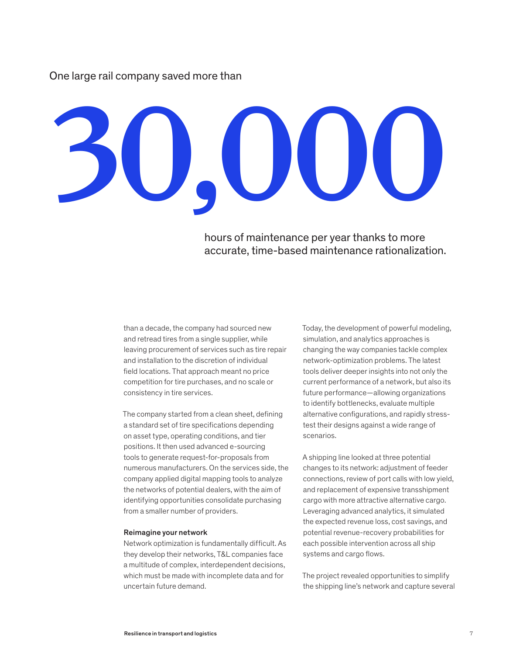One large rail company saved more than

# **30,000**

hours of maintenance per year thanks to more accurate, time-based maintenance rationalization.

than a decade, the company had sourced new and retread tires from a single supplier, while leaving procurement of services such as tire repair and installation to the discretion of individual field locations. That approach meant no price competition for tire purchases, and no scale or consistency in tire services.

The company started from a clean sheet, defining a standard set of tire specifications depending on asset type, operating conditions, and tier positions. It then used advanced e-sourcing tools to generate request-for-proposals from numerous manufacturers. On the services side, the company applied digital mapping tools to analyze the networks of potential dealers, with the aim of identifying opportunities consolidate purchasing from a smaller number of providers.

#### Reimagine your network

Network optimization is fundamentally difficult. As they develop their networks, T&L companies face a multitude of complex, interdependent decisions, which must be made with incomplete data and for uncertain future demand.

Today, the development of powerful modeling, simulation, and analytics approaches is changing the way companies tackle complex network-optimization problems. The latest tools deliver deeper insights into not only the current performance of a network, but also its future performance—allowing organizations to identify bottlenecks, evaluate multiple alternative configurations, and rapidly stresstest their designs against a wide range of scenarios.

A shipping line looked at three potential changes to its network: adjustment of feeder connections, review of port calls with low yield, and replacement of expensive transshipment cargo with more attractive alternative cargo. Leveraging advanced analytics, it simulated the expected revenue loss, cost savings, and potential revenue-recovery probabilities for each possible intervention across all ship systems and cargo flows.

The project revealed opportunities to simplify the shipping line's network and capture several